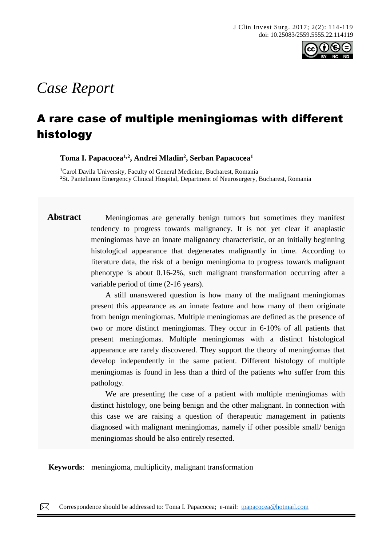

# *Case Report*

# A rare case of multiple meningiomas with different histology

**Toma I. Papacocea1,2, Andrei Mladin<sup>2</sup> , Serban Papacocea<sup>1</sup>**

<sup>1</sup>Carol Davila University, Faculty of General Medicine, Bucharest, Romania <sup>2</sup>St. Pantelimon Emergency Clinical Hospital, Department of Neurosurgery, Bucharest, Romania

Abstract Meningiomas are generally benign tumors but sometimes they manifest tendency to progress towards malignancy. It is not yet clear if anaplastic meningiomas have an innate malignancy characteristic, or an initially beginning histological appearance that degenerates malignantly in time. According to literature data, the risk of a benign meningioma to progress towards malignant phenotype is about 0.16-2%, such malignant transformation occurring after a variable period of time (2-16 years).

> A still unanswered question is how many of the malignant meningiomas present this appearance as an innate feature and how many of them originate from benign meningiomas. Multiple meningiomas are defined as the presence of two or more distinct meningiomas. They occur in 6-10% of all patients that present meningiomas. Multiple meningiomas with a distinct histological appearance are rarely discovered. They support the theory of meningiomas that develop independently in the same patient. Different histology of multiple meningiomas is found in less than a third of the patients who suffer from this pathology.

> We are presenting the case of a patient with multiple meningiomas with distinct histology, one being benign and the other malignant. In connection with this case we are raising a question of therapeutic management in patients diagnosed with malignant meningiomas, namely if other possible small/ benign meningiomas should be also entirely resected.

**Keywords**: meningioma, multiplicity, malignant transformation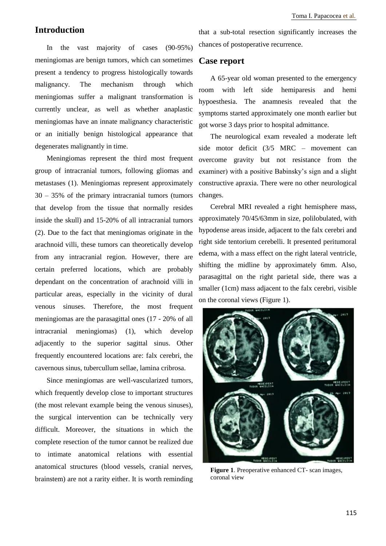# **Introduction**

In the vast majority of cases (90-95%) meningiomas are benign tumors, which can sometimes present a tendency to progress histologically towards malignancy. The mechanism through which meningiomas suffer a malignant transformation is currently unclear, as well as whether anaplastic meningiomas have an innate malignancy characteristic or an initially benign histological appearance that degenerates malignantly in time.

Meningiomas represent the third most frequent group of intracranial tumors, following gliomas and metastases (1). Meningiomas represent approximately 30 – 35% of the primary intracranial tumors (tumors that develop from the tissue that normally resides inside the skull) and 15-20% of all intracranial tumors (2). Due to the fact that meningiomas originate in the arachnoid villi, these tumors can theoretically develop from any intracranial region. However, there are certain preferred locations, which are probably dependant on the concentration of arachnoid villi in particular areas, especially in the vicinity of dural venous sinuses. Therefore, the most frequent meningiomas are the parasagittal ones (17 - 20% of all intracranial meningiomas) (1), which develop adjacently to the superior sagittal sinus. Other frequently encountered locations are: falx cerebri, the cavernous sinus, tubercullum sellae, lamina cribrosa.

Since meningiomas are well-vascularized tumors, which frequently develop close to important structures (the most relevant example being the venous sinuses), the surgical intervention can be technically very difficult. Moreover, the situations in which the complete resection of the tumor cannot be realized due to intimate anatomical relations with essential anatomical structures (blood vessels, cranial nerves, brainstem) are not a rarity either. It is worth reminding that a sub-total resection significantly increases the chances of postoperative recurrence.

## **Case report**

A 65-year old woman presented to the emergency room with left side hemiparesis and hemi hypoesthesia. The anamnesis revealed that the symptoms started approximately one month earlier but got worse 3 days prior to hospital admittance.

The neurological exam revealed a moderate left side motor deficit (3/5 MRC – movement can overcome gravity but not resistance from the examiner) with a positive Babinsky's sign and a slight constructive apraxia. There were no other neurological changes.

Cerebral MRI revealed a right hemisphere mass, approximately 70/45/63mm in size, polilobulated, with hypodense areas inside, adjacent to the falx cerebri and right side tentorium cerebelli. It presented peritumoral edema, with a mass effect on the right lateral ventricle, shifting the midline by approximately 6mm. Also, parasagittal on the right parietal side, there was a smaller (1cm) mass adjacent to the falx cerebri, visible on the coronal views (Figure 1).



**Figure 1**. Preoperative enhanced CT- scan images, coronal view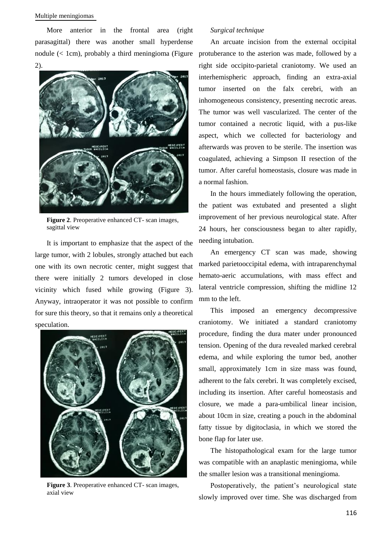#### Multiple meningiomas

More anterior in the frontal area (right parasagittal) there was another small hyperdense 2).



**Figure 2**. Preoperative enhanced CT- scan images, sagittal view

It is important to emphasize that the aspect of the large tumor, with 2 lobules, strongly attached but each one with its own necrotic center, might suggest that there were initially 2 tumors developed in close vicinity which fused while growing (Figure 3). Anyway, intraoperator it was not possible to confirm for sure this theory, so that it remains only a theoretical speculation.



**Figure 3**. Preoperative enhanced CT- scan images, axial view

#### *Surgical technique*

nodule (< 1cm), probably a third meningioma (Figure protuberance to the asterion was made, followed by a An arcuate incision from the external occipital right side occipito-parietal craniotomy. We used an interhemispheric approach, finding an extra-axial tumor inserted on the falx cerebri, with an inhomogeneous consistency, presenting necrotic areas. The tumor was well vascularized. The center of the tumor contained a necrotic liquid, with a pus-like aspect, which we collected for bacteriology and afterwards was proven to be sterile. The insertion was coagulated, achieving a Simpson II resection of the tumor. After careful homeostasis, closure was made in a normal fashion.

> In the hours immediately following the operation, the patient was extubated and presented a slight improvement of her previous neurological state. After 24 hours, her consciousness began to alter rapidly, needing intubation.

> An emergency CT scan was made, showing marked parietooccipital edema, with intraparenchymal hemato-aeric accumulations, with mass effect and lateral ventricle compression, shifting the midline 12 mm to the left.

> This imposed an emergency decompressive craniotomy. We initiated a standard craniotomy procedure, finding the dura mater under pronounced tension. Opening of the dura revealed marked cerebral edema, and while exploring the tumor bed, another small, approximately 1cm in size mass was found, adherent to the falx cerebri. It was completely excised, including its insertion. After careful homeostasis and closure, we made a para-umbilical linear incision, about 10cm in size, creating a pouch in the abdominal fatty tissue by digitoclasia, in which we stored the bone flap for later use.

> The histopathological exam for the large tumor was compatible with an anaplastic meningioma, while the smaller lesion was a transitional meningioma.

> Postoperatively, the patient's neurological state slowly improved over time. She was discharged from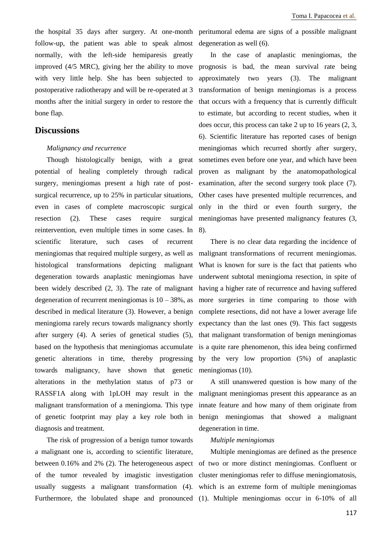the hospital 35 days after surgery. At one-month peritumoral edema are signs of a possible malignant follow-up, the patient was able to speak almost degeneration as well (6). normally, with the left-side hemiparesis greatly with very little help. She has been subjected to postoperative radiotherapy and will be re-operated at 3 months after the initial surgery in order to restore the bone flap.

#### **Discussions**

#### *Malignancy and recurrence*

Though histologically benign, with a great surgery, meningiomas present a high rate of postsurgical recurrence, up to 25% in particular situations, even in cases of complete macroscopic surgical resection (2). These cases require surgical reintervention, even multiple times in some cases. In 8). scientific literature, such cases of recurrent meningiomas that required multiple surgery, as well as histological transformations depicting malignant degeneration towards anaplastic meningiomas have been widely described (2, 3). The rate of malignant having a higher rate of recurrence and having suffered degeneration of recurrent meningiomas is  $10 - 38\%$ , as described in medical literature (3). However, a benign meningioma rarely recurs towards malignancy shortly after surgery (4). A series of genetical studies (5), based on the hypothesis that meningiomas accumulate genetic alterations in time, thereby progressing towards malignancy, have shown that genetic meningiomas (10). alterations in the methylation status of p73 or RASSF1A along with 1pLOH may result in the malignant meningiomas present this appearance as an malignant transformation of a meningioma. This type innate feature and how many of them originate from of genetic footprint may play a key role both in benign meningiomas that showed a malignant diagnosis and treatment.

The risk of progression of a benign tumor towards a malignant one is, according to scientific literature, Furthermore, the lobulated shape and pronounced (1). Multiple meningiomas occur in 6-10% of all

improved (4/5 MRC), giving her the ability to move prognosis is bad, the mean survival rate being potential of healing completely through radical proven as malignant by the anatomopathological In the case of anaplastic meningiomas, the approximately two years (3). The malignant transformation of benign meningiomas is a process that occurs with a frequency that is currently difficult to estimate, but according to recent studies, when it does occur, this process can take 2 up to 16 years (2, 3, 6). Scientific literature has reported cases of benign meningiomas which recurred shortly after surgery, sometimes even before one year, and which have been examination, after the second surgery took place (7). Other cases have presented multiple recurrences, and only in the third or even fourth surgery, the meningiomas have presented malignancy features (3,

> There is no clear data regarding the incidence of malignant transformations of recurrent meningiomas. What is known for sure is the fact that patients who underwent subtotal meningioma resection, in spite of more surgeries in time comparing to those with complete resections, did not have a lower average life expectancy than the last ones (9). This fact suggests that malignant transformation of benign meningiomas is a quite rare phenomenon, this idea being confirmed by the very low proportion (5%) of anaplastic

> A still unanswered question is how many of the degeneration in time.

#### *Multiple meningiomas*

between 0.16% and 2% (2). The heterogeneous aspect of two or more distinct meningiomas. Confluent or of the tumor revealed by imagistic investigation cluster meningiomas refer to diffuse meningiomatosis, usually suggests a malignant transformation (4). which is an extreme form of multiple meningiomas Multiple meningiomas are defined as the presence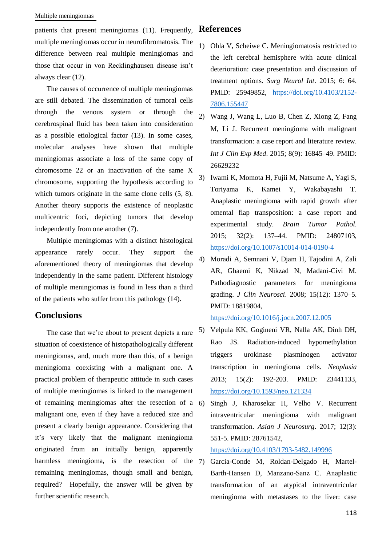#### Multiple meningiomas

patients that present meningiomas (11). Frequently, multiple meningiomas occur in neurofibromatosis. The difference between real multiple meningiomas and those that occur in von Recklinghausen disease isn't always clear (12).

The causes of occurrence of multiple meningiomas are still debated. The dissemination of tumoral cells through the venous system or through the cerebrospinal fluid has been taken into consideration as a possible etiological factor (13). In some cases, molecular analyses have shown that multiple meningiomas associate a loss of the same copy of chromosome 22 or an inactivation of the same X chromosome, supporting the hypothesis according to which tumors originate in the same clone cells  $(5, 8)$ . Another theory supports the existence of neoplastic multicentric foci, depicting tumors that develop independently from one another (7).

Multiple meningiomas with a distinct histological appearance rarely occur. They support the aforementioned theory of meningiomas that develop independently in the same patient. Different histology of multiple meningiomas is found in less than a third of the patients who suffer from this pathology (14).

## **Conclusions**

The case that we're about to present depicts a rare situation of coexistence of histopathologically different meningiomas, and, much more than this, of a benign meningioma coexisting with a malignant one. A practical problem of therapeutic attitude in such cases of multiple meningiomas is linked to the management of remaining meningiomas after the resection of a malignant one, even if they have a reduced size and present a clearly benign appearance. Considering that it's very likely that the malignant meningioma originated from an initially benign, apparently harmless meningioma, is the resection of the 7) remaining meningiomas, though small and benign, required? Hopefully, the answer will be given by further scientific research.

# **References**

- 1) Ohla V, Scheiwe C. Meningiomatosis restricted to the left cerebral hemisphere with acute clinical deterioration: case presentation and discussion of treatment options. *Surg Neurol Int*. 2015; 6: 64. PMID: 25949852, [https://doi.org/10.4103/2152-](https://doi.org/10.4103/2152-7806.155447) [7806.155447](https://doi.org/10.4103/2152-7806.155447)
- 2) Wang J, Wang L, Luo B, Chen Z, Xiong Z, Fang M, Li J. Recurrent meningioma with malignant transformation: a case report and literature review. *Int J Clin Exp Med*. 2015; 8(9): 16845–49. PMID: 26629232
- 3) Iwami K, Momota H, Fujii M, Natsume A, Yagi S, Toriyama K, Kamei Y, Wakabayashi T. Anaplastic meningioma with rapid growth after omental flap transposition: a case report and experimental study. *Brain Tumor Pathol*. 2015; 32(2): 137–44. PMID: 24807103, <https://doi.org/10.1007/s10014-014-0190-4>
- 4) Moradi A, Semnani V, Djam H, Tajodini A, Zali AR, Ghaemi K, Nikzad N, Madani-Civi M. Pathodiagnostic parameters for meningioma grading. *J Clin Neurosci*. 2008; 15(12): 1370–5. PMID: 18819804,

<https://doi.org/10.1016/j.jocn.2007.12.005>

- 5) Velpula KK, Gogineni VR, Nalla AK, Dinh DH, Rao JS. Radiation-induced hypomethylation triggers urokinase plasminogen activator transcription in meningioma cells. *Neoplasia* 2013; 15(2): 192-203. PMID: 23441133, <https://doi.org/10.1593/neo.121334>
- 6) Singh J, Kharosekar H, Velho V. Recurrent intraventricular meningioma with malignant transformation. *Asian J Neurosurg*. 2017; 12(3): 551-5. PMID: 28761542,

<https://doi.org/10.4103/1793-5482.149996>

7) Garcia-Conde M, Roldan-Delgado H, Martel-Barth-Hansen D, Manzano-Sanz C. Anaplastic transformation of an atypical intraventricular meningioma with metastases to the liver: case